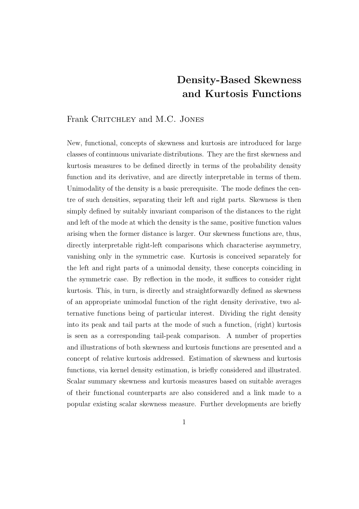## **Density-Based Skewness and Kurtosis Functions**

## Frank CRITCHLEY and M.C. JONES

New, functional, concepts of skewness and kurtosis are introduced for large classes of continuous univariate distributions. They are the first skewness and kurtosis measures to be defined directly in terms of the probability density function and its derivative, and are directly interpretable in terms of them. Unimodality of the density is a basic prerequisite. The mode defines the centre of such densities, separating their left and right parts. Skewness is then simply defined by suitably invariant comparison of the distances to the right and left of the mode at which the density is the same, positive function values arising when the former distance is larger. Our skewness functions are, thus, directly interpretable right-left comparisons which characterise asymmetry, vanishing only in the symmetric case. Kurtosis is conceived separately for the left and right parts of a unimodal density, these concepts coinciding in the symmetric case. By reflection in the mode, it suffices to consider right kurtosis. This, in turn, is directly and straightforwardly defined as skewness of an appropriate unimodal function of the right density derivative, two alternative functions being of particular interest. Dividing the right density into its peak and tail parts at the mode of such a function, (right) kurtosis is seen as a corresponding tail-peak comparison. A number of properties and illustrations of both skewness and kurtosis functions are presented and a concept of relative kurtosis addressed. Estimation of skewness and kurtosis functions, via kernel density estimation, is briefly considered and illustrated. Scalar summary skewness and kurtosis measures based on suitable averages of their functional counterparts are also considered and a link made to a popular existing scalar skewness measure. Further developments are briefly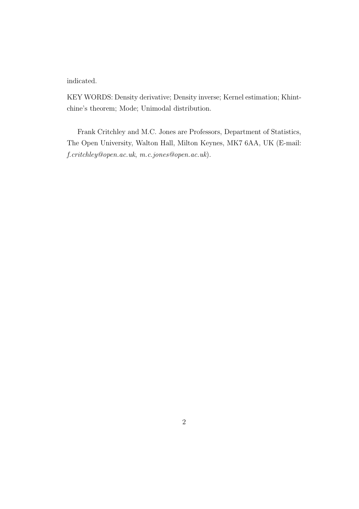indicated.

KEY WORDS: Density derivative; Density inverse; Kernel estimation; Khintchine's theorem; Mode; Unimodal distribution.

Frank Critchley and M.C. Jones are Professors, Department of Statistics, The Open University, Walton Hall, Milton Keynes, MK7 6AA, UK (E-mail: *f.critchley@open.ac.uk*, *m.c.jones@open.ac.uk*).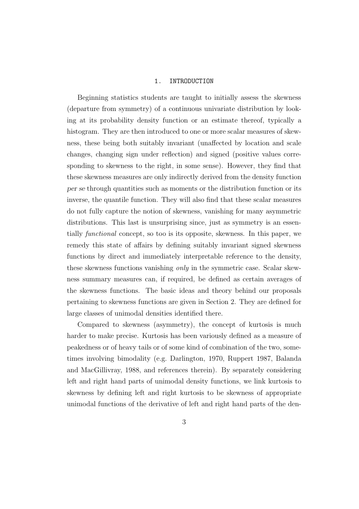## 1. INTRODUCTION

Beginning statistics students are taught to initially assess the skewness (departure from symmetry) of a continuous univariate distribution by looking at its probability density function or an estimate thereof, typically a histogram. They are then introduced to one or more scalar measures of skewness, these being both suitably invariant (unaffected by location and scale changes, changing sign under reflection) and signed (positive values corresponding to skewness to the right, in some sense). However, they find that these skewness measures are only indirectly derived from the density function *per se* through quantities such as moments or the distribution function or its inverse, the quantile function. They will also find that these scalar measures do not fully capture the notion of skewness, vanishing for many asymmetric distributions. This last is unsurprising since, just as symmetry is an essentially *functional* concept, so too is its opposite, skewness. In this paper, we remedy this state of affairs by defining suitably invariant signed skewness functions by direct and immediately interpretable reference to the density, these skewness functions vanishing *only* in the symmetric case. Scalar skewness summary measures can, if required, be defined as certain averages of the skewness functions. The basic ideas and theory behind our proposals pertaining to skewness functions are given in Section 2. They are defined for large classes of unimodal densities identified there.

Compared to skewness (asymmetry), the concept of kurtosis is much harder to make precise. Kurtosis has been variously defined as a measure of peakedness or of heavy tails or of some kind of combination of the two, sometimes involving bimodality (e.g. Darlington, 1970, Ruppert 1987, Balanda and MacGillivray, 1988, and references therein). By separately considering left and right hand parts of unimodal density functions, we link kurtosis to skewness by defining left and right kurtosis to be skewness of appropriate unimodal functions of the derivative of left and right hand parts of the den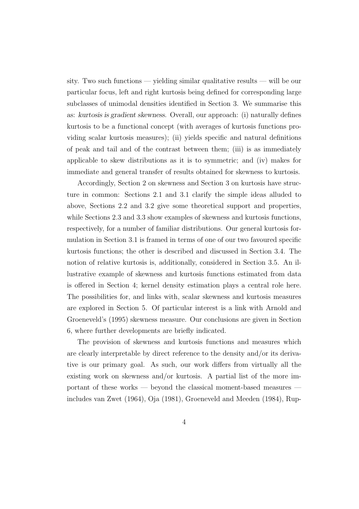sity. Two such functions — yielding similar qualitative results — will be our particular focus, left and right kurtosis being defined for corresponding large subclasses of unimodal densities identified in Section 3. We summarise this as: *kurtosis is gradient skewness*. Overall, our approach: (i) naturally defines kurtosis to be a functional concept (with averages of kurtosis functions providing scalar kurtosis measures); (ii) yields specific and natural definitions of peak and tail and of the contrast between them; (iii) is as immediately applicable to skew distributions as it is to symmetric; and (iv) makes for immediate and general transfer of results obtained for skewness to kurtosis.

Accordingly, Section 2 on skewness and Section 3 on kurtosis have structure in common: Sections 2.1 and 3.1 clarify the simple ideas alluded to above, Sections 2.2 and 3.2 give some theoretical support and properties, while Sections 2.3 and 3.3 show examples of skewness and kurtosis functions, respectively, for a number of familiar distributions. Our general kurtosis formulation in Section 3.1 is framed in terms of one of our two favoured specific kurtosis functions; the other is described and discussed in Section 3.4. The notion of relative kurtosis is, additionally, considered in Section 3.5. An illustrative example of skewness and kurtosis functions estimated from data is offered in Section 4; kernel density estimation plays a central role here. The possibilities for, and links with, scalar skewness and kurtosis measures are explored in Section 5. Of particular interest is a link with Arnold and Groeneveld's (1995) skewness measure. Our conclusions are given in Section 6, where further developments are briefly indicated.

The provision of skewness and kurtosis functions and measures which are clearly interpretable by direct reference to the density and/or its derivative is our primary goal. As such, our work differs from virtually all the existing work on skewness and/or kurtosis. A partial list of the more important of these works — beyond the classical moment-based measures includes van Zwet (1964), Oja (1981), Groeneveld and Meeden (1984), Rup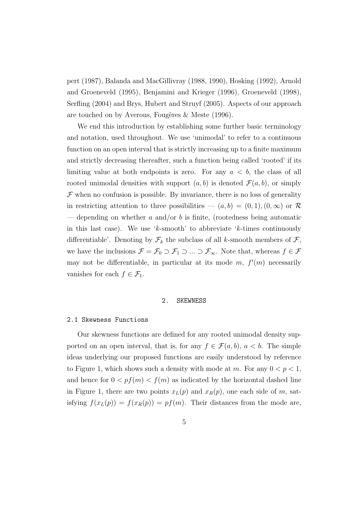pert (1987), Balanda and MacGillivray (1988, 1990), Hosking (1992), Arnold and Groeneveld (1995), Benjamini and Krieger (1996), Groeneveld (1998), Serfling (2004) and Brys, Hubert and Struyf (2005). Aspects of our approach are touched on by Averous, Fougères  $\&$  Meste (1996).

We end this introduction by establishing some further basic terminology and notation, used throughout. We use 'unimodal' to refer to a continuous function on an open interval that is strictly increasing up to a finite maximum and strictly decreasing thereafter, such a function being called 'rooted' if its limiting value at both endpoints is zero. For any  $a < b$ , the class of all rooted unimodal densities with support  $(a, b)$  is denoted  $\mathcal{F}(a, b)$ , or simply  $\mathcal F$  when no confusion is possible. By invariance, there is no loss of generality in restricting attention to three possibilities —  $(a, b) = (0, 1), (0, \infty)$  or R — depending on whether a and/or b is finite, (rootedness being automatic in this last case). We use 'k-smooth' to abbreviate 'k-times continuously differentiable'. Denoting by  $\mathcal{F}_k$  the subclass of all k-smooth members of  $\mathcal{F}_k$ , we have the inclusions  $\mathcal{F} = \mathcal{F}_0 \supset \mathcal{F}_1 \supset \ldots \supset \mathcal{F}_{\infty}$ . Note that, whereas  $f \in \mathcal{F}$ may not be differentiable, in particular at its mode  $m$ ,  $f'(m)$  necessarily vanishes for each  $f \in \mathcal{F}_1$ .

Our skewness functions are defined for any rooted unimodal density supported on an open interval, that is, for any  $f \in \mathcal{F}(a, b)$ ,  $a < b$ . The simple ideas underlying our proposed functions are easily understood by reference to Figure 1, which shows such a density with mode at m. For any  $0 < p < 1$ , and hence for  $0 < pf(m) < f(m)$  as indicated by the horizontal dashed line in Figure 1, there are two points  $x_L(p)$  and  $x_R(p)$ , one each side of m, satisfying  $f(x_L(p)) = f(x_R(p)) = pf(m)$ . Their distances from the mode are,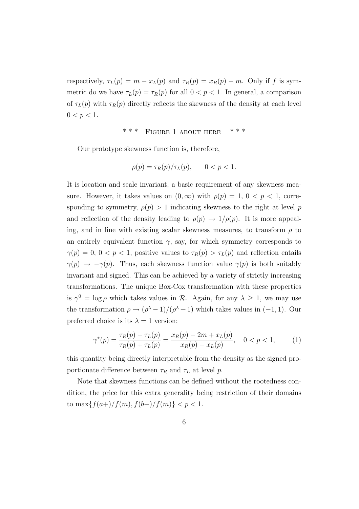respectively,  $\tau_L(p) = m - x_L(p)$  and  $\tau_R(p) = x_R(p) - m$ . Only if f is symmetric do we have  $\tau_L(p) = \tau_R(p)$  for all  $0 < p < 1$ . In general, a comparison of  $\tau_L(p)$  with  $\tau_R(p)$  directly reflects the skewness of the density at each level  $0 < p < 1$ .

### \*\*\* Figure 1 about here \*\*\*

Our prototype skewness function is, therefore,

$$
\rho(p) = \tau_R(p) / \tau_L(p), \qquad 0 < p < 1.
$$

It is location and scale invariant, a basic requirement of any skewness measure. However, it takes values on  $(0, \infty)$  with  $\rho(p)=1, 0 < p < 1$ , corresponding to symmetry,  $\rho(p) > 1$  indicating skewness to the right at level p and reflection of the density leading to  $\rho(p) \to 1/\rho(p)$ . It is more appealing, and in line with existing scalar skewness measures, to transform  $\rho$  to an entirely equivalent function  $\gamma$ , say, for which symmetry corresponds to  $\gamma(p) = 0, 0 < p < 1$ , positive values to  $\tau_R(p) > \tau_L(p)$  and reflection entails  $\gamma(p) \rightarrow -\gamma(p)$ . Thus, each skewness function value  $\gamma(p)$  is both suitably invariant and signed. This can be achieved by a variety of strictly increasing transformations. The unique Box-Cox transformation with these properties is  $\gamma^0 = \log \rho$  which takes values in R. Again, for any  $\lambda \geq 1$ , we may use the transformation  $\rho \to (\rho^{\lambda} - 1)/(\rho^{\lambda} + 1)$  which takes values in (-1, 1). Our preferred choice is its  $\lambda = 1$  version:

$$
\gamma^*(p) = \frac{\tau_R(p) - \tau_L(p)}{\tau_R(p) + \tau_L(p)} = \frac{x_R(p) - 2m + x_L(p)}{x_R(p) - x_L(p)}, \quad 0 < p < 1,\tag{1}
$$

this quantity being directly interpretable from the density as the signed proportionate difference between  $\tau_R$  and  $\tau_L$  at level p.

Note that skewness functions can be defined without the rootedness condition, the price for this extra generality being restriction of their domains to max $\{f(a+)/f(m), f(b-)/f(m)\} < p < 1$ .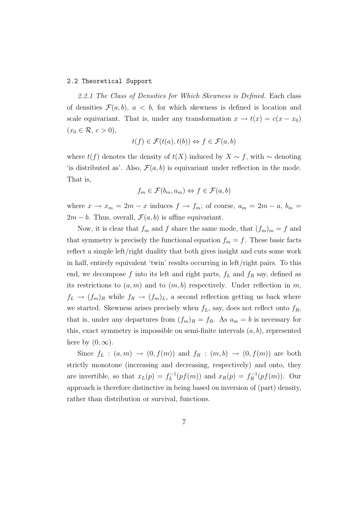#### 2.2 Theoretical Support

*2.2.1 The Class of Densities for Which Skewness is Defined*. Each class of densities  $\mathcal{F}(a, b)$ ,  $a < b$ , for which skewness is defined is location and scale equivariant. That is, under any transformation  $x \to t(x) = c(x - x_0)$  $(x_0 \in \mathcal{R}, c > 0),$ 

$$
t(f) \in \mathcal{F}(t(a), t(b)) \Leftrightarrow f \in \mathcal{F}(a, b)
$$

where  $t(f)$  denotes the density of  $t(X)$  induced by  $X \sim f$ , with  $\sim$  denoting 'is distributed as'. Also,  $\mathcal{F}(a, b)$  is equivariant under reflection in the mode. That is,

$$
f_m \in \mathcal{F}(b_m, a_m) \Leftrightarrow f \in \mathcal{F}(a, b)
$$

where  $x \to x_m = 2m - x$  induces  $f \to f_m$ ; of course,  $a_m = 2m - a$ ,  $b_m =$  $2m - b$ . Thus, overall,  $\mathcal{F}(a, b)$  is affine equivariant.

Now, it is clear that  $f_m$  and f share the same mode, that  $(f_m)_m = f$  and that symmetry is precisely the functional equation  $f_m = f$ . These basic facts reflect a simple left/right duality that both gives insight and cuts some work in half, entirely equivalent 'twin' results occurring in left/right pairs. To this end, we decompose f into its left and right parts,  $f<sub>L</sub>$  and  $f<sub>R</sub>$  say, defined as its restrictions to  $(a, m)$  and to  $(m, b)$  respectively. Under reflection in m,  $f_L \to (f_m)_R$  while  $f_R \to (f_m)_L$ , a second reflection getting us back where we started. Skewness arises precisely when  $f_L$ , say, does not reflect onto  $f_R$ , that is, under any departures from  $(f_m)_R = f_R$ . As  $a_m = b$  is necessary for this, exact symmetry is impossible on semi-finite intervals  $(a, b)$ , represented here by  $(0, \infty)$ .

Since  $f_L$  :  $(a, m) \rightarrow (0, f(m))$  and  $f_R$  :  $(m, b) \rightarrow (0, f(m))$  are both strictly monotone (increasing and decreasing, respectively) and onto, they are invertible, so that  $x_L(p) = f_L^{-1}(pf(m))$  and  $x_R(p) = f_R^{-1}(pf(m))$ . Our approach is therefore distinctive in being based on inversion of (part) density, rather than distribution or survival, functions.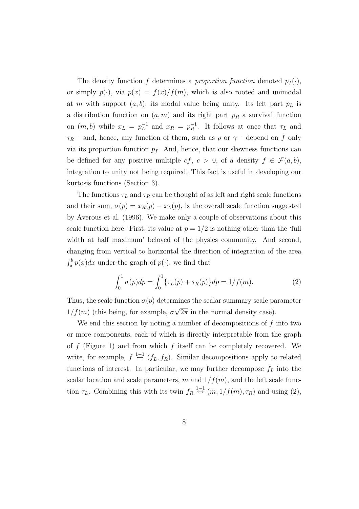The density function f determines a *proportion function* denoted  $p_f(\cdot)$ , or simply  $p(\cdot)$ , via  $p(x) = f(x)/f(m)$ , which is also rooted and unimodal at m with support  $(a, b)$ , its modal value being unity. Its left part  $p<sub>L</sub>$  is a distribution function on  $(a, m)$  and its right part  $p_R$  a survival function on  $(m, b)$  while  $x_L = p_L^{-1}$  and  $x_R = p_R^{-1}$ . It follows at once that  $\tau_L$  and  $\tau_R$  – and, hence, any function of them, such as  $\rho$  or  $\gamma$  – depend on f only via its proportion function  $p_f$ . And, hence, that our skewness functions can be defined for any positive multiple  $cf, c > 0$ , of a density  $f \in \mathcal{F}(a, b)$ , integration to unity not being required. This fact is useful in developing our kurtosis functions (Section 3).

The functions  $\tau_L$  and  $\tau_R$  can be thought of as left and right scale functions and their sum,  $\sigma(p) = x_R(p) - x_L(p)$ , is the overall scale function suggested by Averous et al. (1996). We make only a couple of observations about this scale function here. First, its value at  $p = 1/2$  is nothing other than the 'full width at half maximum' beloved of the physics community. And second, changing from vertical to horizontal the direction of integration of the area  $\int_a^b p(x)dx$  under the graph of  $p(\cdot)$ , we find that

$$
\int_0^1 \sigma(p) dp = \int_0^1 {\{\tau_L(p) + \tau_R(p)\}} dp = 1/f(m). \tag{2}
$$

Thus, the scale function  $\sigma(p)$  determines the scalar summary scale parameter  $1/f(m)$  (this being, for example,  $\sigma\sqrt{2\pi}$  in the normal density case).

We end this section by noting a number of decompositions of  $f$  into two or more components, each of which is directly interpretable from the graph of f (Figure 1) and from which f itself can be completely recovered. We write, for example,  $f \stackrel{1-1}{\leftrightarrow} (f_L, f_R)$ . Similar decompositions apply to related functions of interest. In particular, we may further decompose  $f_L$  into the scalar location and scale parameters, m and  $1/f(m)$ , and the left scale function  $\tau_L$ . Combining this with its twin  $f_R \stackrel{1-1}{\leftrightarrow} (m, 1/f(m), \tau_R)$  and using (2),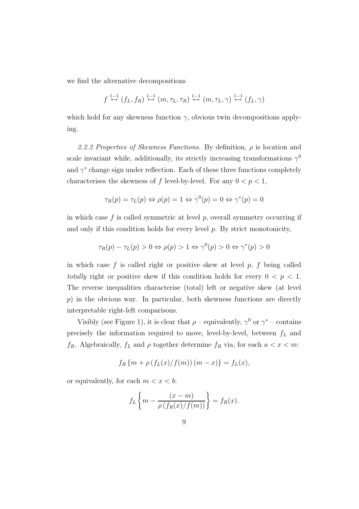we find the alternative decompositions

$$
f \stackrel{1-1}{\leftrightarrow} (f_L, f_R) \stackrel{1-1}{\leftrightarrow} (m, \tau_L, \tau_R) \stackrel{1-1}{\leftrightarrow} (m, \tau_L, \gamma) \stackrel{1-1}{\leftrightarrow} (f_L, \gamma)
$$

which hold for any skewness function  $\gamma$ , obvious twin decompositions applying.

*2.2.2 Properties of Skewness Functions*. By definition, ρ is location and scale invariant while, additionally, its strictly increasing transformations  $\gamma^0$ and  $\gamma^*$  change sign under reflection. Each of these three functions completely characterises the skewness of f level-by-level. For any  $0 < p < 1$ ,

$$
\tau_R(p) = \tau_L(p) \Leftrightarrow \rho(p) = 1 \Leftrightarrow \gamma^0(p) = 0 \Leftrightarrow \gamma^*(p) = 0
$$

in which case f is called symmetric at level  $p$ , overall symmetry occurring if and only if this condition holds for every level  $p$ . By strict monotonicity,

$$
\tau_R(p) - \tau_L(p) > 0 \Leftrightarrow \rho(p) > 1 \Leftrightarrow \gamma^0(p) > 0 \Leftrightarrow \gamma^*(p) > 0
$$

in which case  $f$  is called right or positive skew at level  $p$ ,  $f$  being called *totally* right or positive skew if this condition holds for every  $0 < p < 1$ . The reverse inequalities characterise (total) left or negative skew (at level p) in the obvious way. In particular, both skewness functions are directly interpretable right-left comparisons.

Visibly (see Figure 1), it is clear that  $\rho$  – equivalently,  $\gamma^0$  or  $\gamma^*$  – contains precisely the information required to move, level-by-level, between  $f_L$  and  $f_R$ . Algebraically,  $f_L$  and  $\rho$  together determine  $f_R$  via, for each  $a < x < m$ :

$$
f_R \{m + \rho (f_L(x)/f(m))(m - x)\} = f_L(x),
$$

or equivalently, for each  $m < x < b$ :

$$
f_L\left\{m-\frac{(x-m)}{\rho\left(f_R(x)/f(m)\right)}\right\} = f_R(x).
$$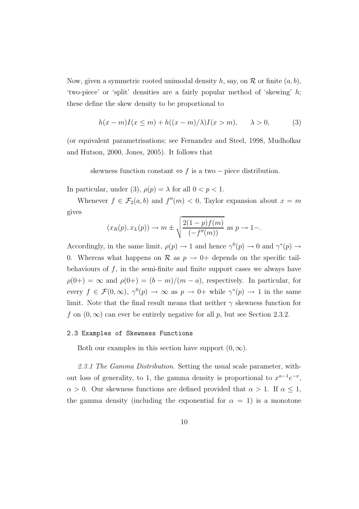Now, given a symmetric rooted unimodal density h, say, on  $\mathcal R$  or finite  $(a, b)$ , 'two-piece' or 'split' densities are a fairly popular method of 'skewing'  $h$ ; these define the skew density to be proportional to

$$
h(x-m)I(x \le m) + h((x-m)/\lambda)I(x > m), \qquad \lambda > 0,
$$
 (3)

(or equivalent parametrisations; see Fernandez and Steel, 1998, Mudholkar and Hutson, 2000, Jones, 2005). It follows that

skewness function constant  $\Leftrightarrow f$  is a two – piece distribution.

In particular, under (3),  $\rho(p) = \lambda$  for all  $0 < p < 1$ .

Whenever  $f \in \mathcal{F}_2(a, b)$  and  $f''(m) < 0$ , Taylor expansion about  $x = m$ gives

$$
(x_R(p), x_L(p)) \to m \pm \sqrt{\frac{2(1-p)f(m)}{(-f''(m))}}
$$
 as  $p \to 1-$ .

Accordingly, in the same limit,  $\rho(p) \to 1$  and hence  $\gamma^{0}(p) \to 0$  and  $\gamma^{*}(p) \to$ 0. Whereas what happens on  $\mathcal R$  as  $p \to 0^+$  depends on the specific tailbehaviours of  $f$ , in the semi-finite and finite support cases we always have  $\rho(0+) = \infty$  and  $\rho(0+) = (b-m)/(m-a)$ , respectively. In particular, for every  $f \in \mathcal{F}(0,\infty)$ ,  $\gamma^{0}(p) \to \infty$  as  $p \to 0+$  while  $\gamma^{*}(p) \to 1$  in the same limit. Note that the final result means that neither  $\gamma$  skewness function for f on  $(0, \infty)$  can ever be entirely negative for all p, but see Section 2.3.2.

#### 2.3 Examples of Skewness Functions

Both our examples in this section have support  $(0, \infty)$ .

*2.3.1 The Gamma Distribution*. Setting the usual scale parameter, without loss of generality, to 1, the gamma density is proportional to  $x^{\alpha-1}e^{-x}$ ,  $\alpha > 0$ . Our skewness functions are defined provided that  $\alpha > 1$ . If  $\alpha \leq 1$ , the gamma density (including the exponential for  $\alpha = 1$ ) is a monotone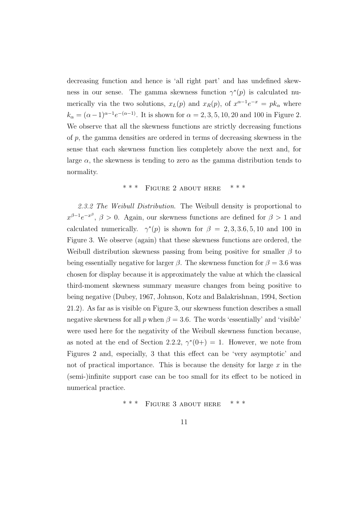decreasing function and hence is 'all right part' and has undefined skewness in our sense. The gamma skewness function  $\gamma^*(p)$  is calculated numerically via the two solutions,  $x_L(p)$  and  $x_R(p)$ , of  $x^{\alpha-1}e^{-x} = pk_\alpha$  where  $k_{\alpha} = (\alpha - 1)^{\alpha - 1} e^{-(\alpha - 1)}$ . It is shown for  $\alpha = 2, 3, 5, 10, 20$  and 100 in Figure 2. We observe that all the skewness functions are strictly decreasing functions of  $p$ , the gamma densities are ordered in terms of decreasing skewness in the sense that each skewness function lies completely above the next and, for large  $\alpha$ , the skewness is tending to zero as the gamma distribution tends to normality.

### \*\*\* Figure 2 about here \*\*\*

*2.3.2 The Weibull Distribution*. The Weibull density is proportional to  $x^{\beta-1}e^{-x^{\beta}}, \beta > 0$ . Again, our skewness functions are defined for  $\beta > 1$  and calculated numerically.  $\gamma^*(p)$  is shown for  $\beta = 2, 3, 3.6, 5, 10$  and 100 in Figure 3. We observe (again) that these skewness functions are ordered, the Weibull distribution skewness passing from being positive for smaller  $\beta$  to being essentially negative for larger  $\beta$ . The skewness function for  $\beta = 3.6$  was chosen for display because it is approximately the value at which the classical third-moment skewness summary measure changes from being positive to being negative (Dubey, 1967, Johnson, Kotz and Balakrishnan, 1994, Section 21.2). As far as is visible on Figure 3, our skewness function describes a small negative skewness for all p when  $\beta = 3.6$ . The words 'essentially' and 'visible' were used here for the negativity of the Weibull skewness function because, as noted at the end of Section 2.2.2,  $\gamma^*(0+) = 1$ . However, we note from Figures 2 and, especially, 3 that this effect can be 'very asymptotic' and not of practical importance. This is because the density for large  $x$  in the (semi-)infinite support case can be too small for its effect to be noticed in numerical practice.

$$
\quad \ \ \ast\ast\ast\quad {\bf FIGURE\ 3\ ABOUT\ HERE}\quad \ \ \ast\ast\ast
$$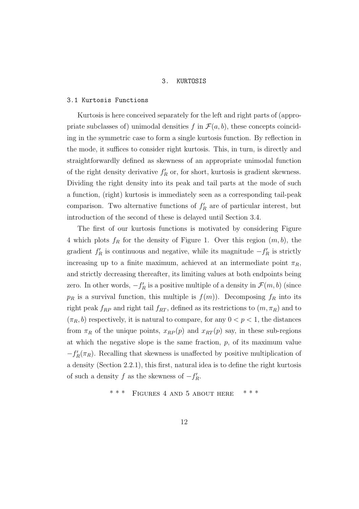## 3. KURTOSIS

Kurtosis is here conceived separately for the left and right parts of (appropriate subclasses of) unimodal densities f in  $\mathcal{F}(a, b)$ , these concepts coinciding in the symmetric case to form a single kurtosis function. By reflection in the mode, it suffices to consider right kurtosis. This, in turn, is directly and straightforwardly defined as skewness of an appropriate unimodal function of the right density derivative  $f'_R$  or, for short, kurtosis is gradient skewness. Dividing the right density into its peak and tail parts at the mode of such a function, (right) kurtosis is immediately seen as a corresponding tail-peak comparison. Two alternative functions of  $f'_R$  are of particular interest, but introduction of the second of these is delayed until Section 3.4.

The first of our kurtosis functions is motivated by considering Figure 4 which plots  $f_R$  for the density of Figure 1. Over this region  $(m, b)$ , the gradient  $f'_R$  is continuous and negative, while its magnitude  $-f'_R$  is strictly increasing up to a finite maximum, achieved at an intermediate point  $\pi_R$ , and strictly decreasing thereafter, its limiting values at both endpoints being zero. In other words,  $-f'_R$  is a positive multiple of a density in  $\mathcal{F}(m, b)$  (since  $p_R$  is a survival function, this multiple is  $f(m)$ ). Decomposing  $f_R$  into its right peak  $f_{RP}$  and right tail  $f_{RT}$ , defined as its restrictions to  $(m, \pi_R)$  and to  $(\pi_R, b)$  respectively, it is natural to compare, for any  $0 < p < 1$ , the distances from  $\pi_R$  of the unique points,  $x_{RP}(p)$  and  $x_{RT}(p)$  say, in these sub-regions at which the negative slope is the same fraction,  $p$ , of its maximum value  $-f'_R(\pi_R)$ . Recalling that skewness is unaffected by positive multiplication of a density (Section 2.2.1), this first, natural idea is to define the right kurtosis of such a density f as the skewness of  $-f'_R$ .

\*\*\* Figures 4 and 5 about here \*\*\*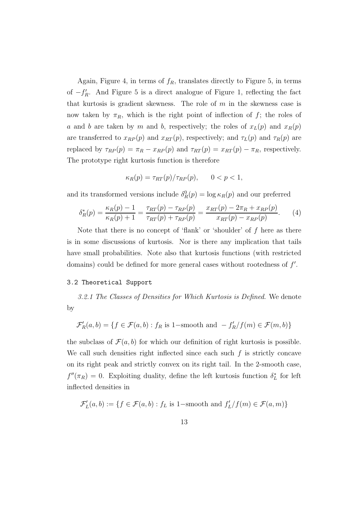Again, Figure 4, in terms of  $f_R$ , translates directly to Figure 5, in terms of  $-f'_R$ . And Figure 5 is a direct analogue of Figure 1, reflecting the fact that kurtosis is gradient skewness. The role of  $m$  in the skewness case is now taken by  $\pi_R$ , which is the right point of inflection of f; the roles of a and b are taken by m and b, respectively; the roles of  $x_L(p)$  and  $x_R(p)$ are transferred to  $x_{RP}(p)$  and  $x_{RT}(p)$ , respectively; and  $\tau_L(p)$  and  $\tau_R(p)$  are replaced by  $\tau_{RP}(p) = \pi_R - x_{RP}(p)$  and  $\tau_{RT}(p) = x_{RT}(p) - \pi_R$ , respectively. The prototype right kurtosis function is therefore

$$
\kappa_R(p) = \tau_{RT}(p) / \tau_{RP}(p), \qquad 0 < p < 1,
$$

and its transformed versions include  $\delta_R^0(p) = \log \kappa_R(p)$  and our preferred

$$
\delta_R^*(p) = \frac{\kappa_R(p) - 1}{\kappa_R(p) + 1} = \frac{\tau_{RT}(p) - \tau_{RP}(p)}{\tau_{RT}(p) + \tau_{RP}(p)} = \frac{x_{RT}(p) - 2\pi_R + x_{RP}(p)}{x_{RT}(p) - x_{RP}(p)}.
$$
 (4)

Note that there is no concept of 'flank' or 'shoulder' of  $f$  here as there is in some discussions of kurtosis. Nor is there any implication that tails have small probabilities. Note also that kurtosis functions (with restricted domains) could be defined for more general cases without rootedness of  $f'$ .

#### 3.2 Theoretical Support

*3.2.1 The Classes of Densities for Which Kurtosis is Defined*. We denote by

$$
\mathcal{F}'_R(a,b) = \{ f \in \mathcal{F}(a,b) : f_R \text{ is 1-smooth and } -f'_R/f(m) \in \mathcal{F}(m,b) \}
$$

the subclass of  $\mathcal{F}(a, b)$  for which our definition of right kurtosis is possible. We call such densities right inflected since each such  $f$  is strictly concave on its right peak and strictly convex on its right tail. In the 2-smooth case,  $f''(\pi_R) = 0$ . Exploiting duality, define the left kurtosis function  $\delta_L^*$  for left inflected densities in

$$
\mathcal{F}'_L(a,b) := \{ f \in \mathcal{F}(a,b) : f_L \text{ is 1-smooth and } f'_L/f(m) \in \mathcal{F}(a,m) \}
$$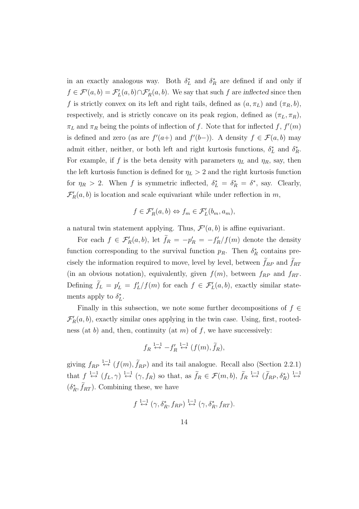in an exactly analogous way. Both  $\delta_L^*$  and  $\delta_R^*$  are defined if and only if  $f \in \mathcal{F}'(a, b) = \mathcal{F}'_L(a, b) \cap \mathcal{F}'_R(a, b)$ . We say that such f are *inflected* since then f is strictly convex on its left and right tails, defined as  $(a, \pi_L)$  and  $(\pi_R, b)$ , respectively, and is strictly concave on its peak region, defined as  $(\pi_L, \pi_R)$ ,  $\pi_L$  and  $\pi_R$  being the points of inflection of f. Note that for inflected f,  $f'(m)$ is defined and zero (as are  $f'(a+)$  and  $f'(b-)$ ). A density  $f \in \mathcal{F}(a, b)$  may admit either, neither, or both left and right kurtosis functions,  $\delta_L^*$  and  $\delta_R^*$ . For example, if f is the beta density with parameters  $\eta_L$  and  $\eta_R$ , say, then the left kurtosis function is defined for  $\eta_L > 2$  and the right kurtosis function for  $\eta_R > 2$ . When f is symmetric inflected,  $\delta_L^* = \delta_R^* = \delta^*$ , say. Clearly,  $\mathcal{F}'_R(a, b)$  is location and scale equivariant while under reflection in m,

$$
f \in \mathcal{F}'_R(a, b) \Leftrightarrow f_m \in \mathcal{F}'_L(b_m, a_m),
$$

a natural twin statement applying. Thus,  $\mathcal{F}'(a, b)$  is affine equivariant.

For each  $f \in \mathcal{F}'_R(a, b)$ , let  $f_R = -p'_R = -f'_R/f(m)$  denote the density function corresponding to the survival function  $p_R$ . Then  $\delta_R^*$  contains precisely the information required to move, level by level, between  $f_{RP}$  and  $f_{RT}$ (in an obvious notation), equivalently, given  $f(m)$ , between  $f_{RP}$  and  $f_{RT}$ . Defining  $f_L = p'_L = f'_L/f(m)$  for each  $f \in \mathcal{F}'_L(a, b)$ , exactly similar statements apply to  $\delta_L^*$ .

Finally in this subsection, we note some further decompositions of  $f \in$  $\mathcal{F}'_R(a, b)$ , exactly similar ones applying in the twin case. Using, first, rootedness (at b) and, then, continuity (at m) of f, we have successively:

$$
f_R \stackrel{1-1}{\leftrightarrow} -f'_R \stackrel{1-1}{\leftrightarrow} (f(m), \tilde{f}_R),
$$

giving  $f_{RP} \stackrel{1-1}{\leftrightarrow} (f(m), \tilde{f}_{RP})$  and its tail analogue. Recall also (Section 2.2.1) that  $f \stackrel{1-1}{\leftrightarrow} (f_L, \gamma) \stackrel{1-1}{\leftrightarrow} (\gamma, f_R)$  so that, as  $\tilde{f}_R \in \mathcal{F}(m, b)$ ,  $\tilde{f}_R \stackrel{1-1}{\leftrightarrow} (\tilde{f}_{RP}, \delta_R^*) \stackrel{1-1}{\leftrightarrow}$  $(\delta_R^*, f_{RT})$ . Combining these, we have

$$
f \stackrel{1-1}{\leftrightarrow} (\gamma, \delta_R^*, f_{RP}) \stackrel{1-1}{\leftrightarrow} (\gamma, \delta_R^*, f_{RT}).
$$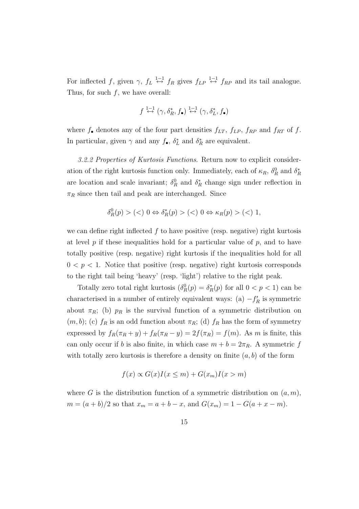For inflected f, given  $\gamma$ ,  $f_L \stackrel{1-1}{\leftrightarrow} f_R$  gives  $f_{LP} \stackrel{1-1}{\leftrightarrow} f_{RP}$  and its tail analogue. Thus, for such  $f$ , we have overall:

$$
f \stackrel{1-1}{\leftrightarrow} (\gamma, \delta_R^*, f_{\bullet}) \stackrel{1-1}{\leftrightarrow} (\gamma, \delta_L^*, f_{\bullet})
$$

where  $f_{\bullet}$  denotes any of the four part densities  $f_{LT}$ ,  $f_{LP}$ ,  $f_{RP}$  and  $f_{RT}$  of f. In particular, given  $\gamma$  and any  $f_{\bullet}$ ,  $\delta_L^*$  and  $\delta_R^*$  are equivalent.

*3.2.2 Properties of Kurtosis Functions*. Return now to explicit consideration of the right kurtosis function only. Immediately, each of  $\kappa_R$ ,  $\delta_R^0$  and  $\delta_R^*$ are location and scale invariant;  $\delta_R^0$  and  $\delta_R^*$  change sign under reflection in  $\pi_R$  since then tail and peak are interchanged. Since

$$
\delta_R^0(p) > \text{(<)} 0 \Leftrightarrow \delta_R^*(p) > \text{(<)} 0 \Leftrightarrow \kappa_R(p) > \text{(<)} 1,
$$

we can define right inflected  $f$  to have positive (resp. negative) right kurtosis at level  $p$  if these inequalities hold for a particular value of  $p$ , and to have totally positive (resp. negative) right kurtosis if the inequalities hold for all  $0 < p < 1$ . Notice that positive (resp. negative) right kurtosis corresponds to the right tail being 'heavy' (resp. 'light') relative to the right peak.

Totally zero total right kurtosis  $(\delta_R^0(p) = \delta_R^*(p)$  for all  $0 < p < 1$  can be characterised in a number of entirely equivalent ways: (a)  $-f'_R$  is symmetric about  $\pi_R$ ; (b)  $p_R$  is the survival function of a symmetric distribution on  $(m, b)$ ; (c)  $f_R$  is an odd function about  $\pi_R$ ; (d)  $f_R$  has the form of symmetry expressed by  $f_R(\pi_R + y) + f_R(\pi_R - y) = 2f(\pi_R) = f(m)$ . As m is finite, this can only occur if b is also finite, in which case  $m + b = 2\pi R$ . A symmetric f with totally zero kurtosis is therefore a density on finite  $(a, b)$  of the form

$$
f(x) \propto G(x)I(x \le m) + G(x_m)I(x > m)
$$

where G is the distribution function of a symmetric distribution on  $(a, m)$ ,  $m = (a + b)/2$  so that  $x_m = a + b - x$ , and  $G(x_m) = 1 - G(a + x - m)$ .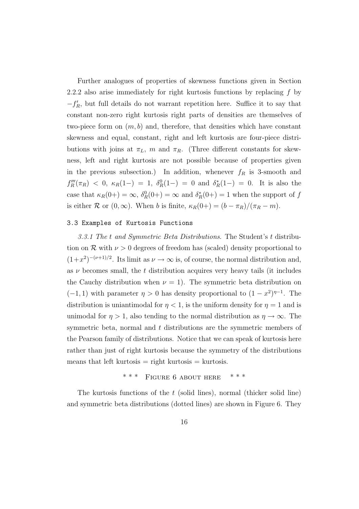Further analogues of properties of skewness functions given in Section 2.2.2 also arise immediately for right kurtosis functions by replacing f by  $-f'_R$ , but full details do not warrant repetition here. Suffice it to say that constant non-zero right kurtosis right parts of densities are themselves of two-piece form on  $(m, b)$  and, therefore, that densities which have constant skewness and equal, constant, right and left kurtosis are four-piece distributions with joins at  $\pi_L$ , m and  $\pi_R$ . (Three different constants for skewness, left and right kurtosis are not possible because of properties given in the previous subsection.) In addition, whenever  $f_R$  is 3-smooth and  $f_R'''(\pi_R) < 0$ ,  $\kappa_R(1-) = 1$ ,  $\delta_R^0(1-) = 0$  and  $\delta_R^*(1-) = 0$ . It is also the case that  $\kappa_R(0+) = \infty$ ,  $\delta_R^0(0+) = \infty$  and  $\delta_R^*(0+) = 1$  when the support of f is either R or  $(0, \infty)$ . When b is finite,  $\kappa_R(0+) = (b - \pi_R)/(\pi_R - m)$ .

# 3.3 Examples of Kurtosis Functions

*3.3.1 The* t *and Symmetric Beta Distributions*. The Student's t distribution on  $\mathcal R$  with  $\nu > 0$  degrees of freedom has (scaled) density proportional to  $(1+x^2)^{-(\nu+1)/2}$ . Its limit as  $\nu \to \infty$  is, of course, the normal distribution and, as  $\nu$  becomes small, the t distribution acquires very heavy tails (it includes the Cauchy distribution when  $\nu = 1$ . The symmetric beta distribution on  $(-1, 1)$  with parameter  $\eta > 0$  has density proportional to  $(1 - x^2)^{\eta - 1}$ . The distribution is uniantimodal for  $\eta < 1$ , is the uniform density for  $\eta = 1$  and is unimodal for  $\eta > 1$ , also tending to the normal distribution as  $\eta \to \infty$ . The symmetric beta, normal and  $t$  distributions are the symmetric members of the Pearson family of distributions. Notice that we can speak of kurtosis here rather than just of right kurtosis because the symmetry of the distributions means that left kurtosis  $=$  right kurtosis  $=$  kurtosis.

$$
\text{***} \quad \text{FIGURE 6 ABOUT HERE} \quad \text{***}
$$

The kurtosis functions of the  $t$  (solid lines), normal (thicker solid line) and symmetric beta distributions (dotted lines) are shown in Figure 6. They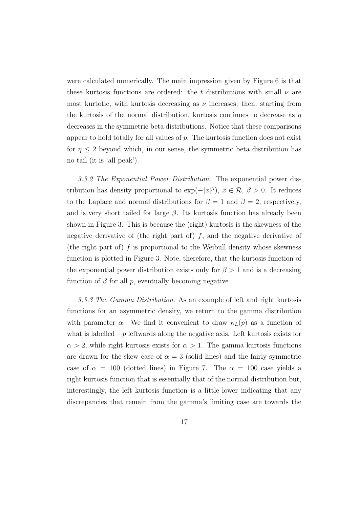were calculated numerically. The main impression given by Figure 6 is that these kurtosis functions are ordered: the t distributions with small  $\nu$  are most kurtotic, with kurtosis decreasing as  $\nu$  increases; then, starting from the kurtosis of the normal distribution, kurtosis continues to decrease as  $\eta$ decreases in the symmetric beta distributions. Notice that these comparisons appear to hold totally for all values of  $p$ . The kurtosis function does not exist for  $\eta \leq 2$  beyond which, in our sense, the symmetric beta distribution has no tail (it is 'all peak').

*3.3.2 The Exponential Power Distribution*. The exponential power distribution has density proportional to  $\exp(-|x|^{\beta})$ ,  $x \in \mathcal{R}$ ,  $\beta > 0$ . It reduces to the Laplace and normal distributions for  $\beta = 1$  and  $\beta = 2$ , respectively, and is very short tailed for large  $\beta$ . Its kurtosis function has already been shown in Figure 3. This is because the (right) kurtosis is the skewness of the negative derivative of (the right part of)  $f$ , and the negative derivative of (the right part of)  $f$  is proportional to the Weibull density whose skewness function is plotted in Figure 3. Note, therefore, that the kurtosis function of the exponential power distribution exists only for  $\beta > 1$  and is a decreasing function of  $\beta$  for all p, eventually becoming negative.

*3.3.3 The Gamma Distribution*. As an example of left and right kurtosis functions for an asymmetric density, we return to the gamma distribution with parameter  $\alpha$ . We find it convenient to draw  $\kappa_L(p)$  as a function of what is labelled  $-p$  leftwards along the negative axis. Left kurtosis exists for  $\alpha > 2$ , while right kurtosis exists for  $\alpha > 1$ . The gamma kurtosis functions are drawn for the skew case of  $\alpha = 3$  (solid lines) and the fairly symmetric case of  $\alpha = 100$  (dotted lines) in Figure 7. The  $\alpha = 100$  case yields a right kurtosis function that is essentially that of the normal distribution but, interestingly, the left kurtosis function is a little lower indicating that any discrepancies that remain from the gamma's limiting case are towards the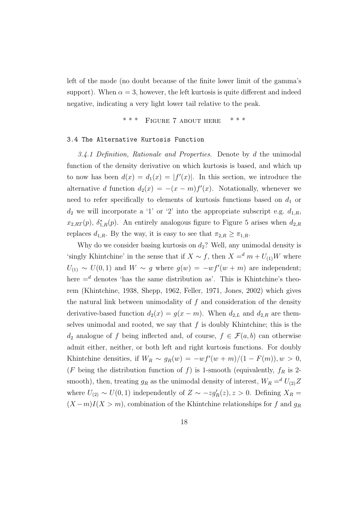left of the mode (no doubt because of the finite lower limit of the gamma's support). When  $\alpha = 3$ , however, the left kurtosis is quite different and indeed negative, indicating a very light lower tail relative to the peak.

$$
\begin{array}{l} * \ * \ * \ \text{FIGURE 7 ABOUT HERE} \\
$$

#### 3.4 The Alternative Kurtosis Function

*3.4.1 Definition, Rationale and Properties*. Denote by d the unimodal function of the density derivative on which kurtosis is based, and which up to now has been  $d(x) = d_1(x) = |f'(x)|$ . In this section, we introduce the alternative d function  $d_2(x) = -(x-m)f'(x)$ . Notationally, whenever we need to refer specifically to elements of kurtosis functions based on  $d_1$  or  $d_2$  we will incorporate a '1' or '2' into the appropriate subscript e.g.  $d_{1,R}$ ,  $x_{2,RT}(p)$ ,  $\delta_{1,R}^*(p)$ . An entirely analogous figure to Figure 5 arises when  $d_{2,R}$ replaces  $d_{1,R}$ . By the way, it is easy to see that  $\pi_{2,R} \geq \pi_{1,R}$ .

Why do we consider basing kurtosis on  $d_2$ ? Well, any unimodal density is 'singly Khintchine' in the sense that if  $X \sim f$ , then  $X =^d m + U_{(1)}W$  where  $U_{(1)} \sim U(0, 1)$  and  $W \sim g$  where  $g(w) = -wf'(w + m)$  are independent; here  $=$ <sup>d</sup> denotes 'has the same distribution as'. This is Khintchine's theorem (Khintchine, 1938, Shepp, 1962, Feller, 1971, Jones, 2002) which gives the natural link between unimodality of  $f$  and consideration of the density derivative-based function  $d_2(x) = g(x - m)$ . When  $d_{2,L}$  and  $d_{2,R}$  are themselves unimodal and rooted, we say that  $f$  is doubly Khintchine; this is the  $d_2$  analogue of f being inflected and, of course,  $f \in \mathcal{F}(a, b)$  can otherwise admit either, neither, or both left and right kurtosis functions. For doubly Khintchine densities, if  $W_R \sim g_R(w) = -wf'(w+m)/(1 - F(m)), w > 0,$ (F being the distribution function of f) is 1-smooth (equivalently,  $f_R$  is 2smooth), then, treating  $g_R$  as the unimodal density of interest,  $W_R = d U_{(2)}Z$ where  $U_{(2)} \sim U(0, 1)$  independently of  $Z \sim -z g'_R(z)$ ,  $z > 0$ . Defining  $X_R =$  $(X-m)I(X>m)$ , combination of the Khintchine relationships for f and  $g_R$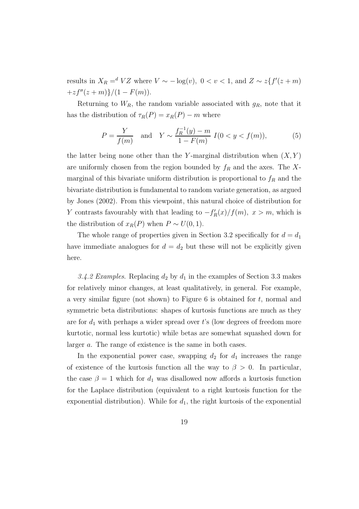results in  $X_R =^d VZ$  where  $V \sim -\log(v)$ ,  $0 < v < 1$ , and  $Z \sim z\{f'(z+m)$  $+zf''(z+m)\}/(1-F(m)).$ 

Returning to  $W_R$ , the random variable associated with  $g_R$ , note that it has the distribution of  $\tau_R(P) = x_R(P) - m$  where

$$
P = \frac{Y}{f(m)} \quad \text{and} \quad Y \sim \frac{f_R^{-1}(y) - m}{1 - F(m)} \ I(0 < y < f(m)), \tag{5}
$$

the latter being none other than the Y-marginal distribution when  $(X, Y)$ are uniformly chosen from the region bounded by  $f_R$  and the axes. The Xmarginal of this bivariate uniform distribution is proportional to  $f_R$  and the bivariate distribution is fundamental to random variate generation, as argued by Jones (2002). From this viewpoint, this natural choice of distribution for Y contrasts favourably with that leading to  $-f'_R(x)/f(m)$ ,  $x > m$ , which is the distribution of  $x_R(P)$  when  $P \sim U(0, 1)$ .

The whole range of properties given in Section 3.2 specifically for  $d = d_1$ have immediate analogues for  $d = d_2$  but these will not be explicitly given here.

3.4.2 Examples. Replacing  $d_2$  by  $d_1$  in the examples of Section 3.3 makes for relatively minor changes, at least qualitatively, in general. For example, a very similar figure (not shown) to Figure  $6$  is obtained for  $t$ , normal and symmetric beta distributions: shapes of kurtosis functions are much as they are for  $d_1$  with perhaps a wider spread over t's (low degrees of freedom more kurtotic, normal less kurtotic) while betas are somewhat squashed down for larger a. The range of existence is the same in both cases.

In the exponential power case, swapping  $d_2$  for  $d_1$  increases the range of existence of the kurtosis function all the way to  $\beta > 0$ . In particular, the case  $\beta = 1$  which for  $d_1$  was disallowed now affords a kurtosis function for the Laplace distribution (equivalent to a right kurtosis function for the exponential distribution). While for  $d_1$ , the right kurtosis of the exponential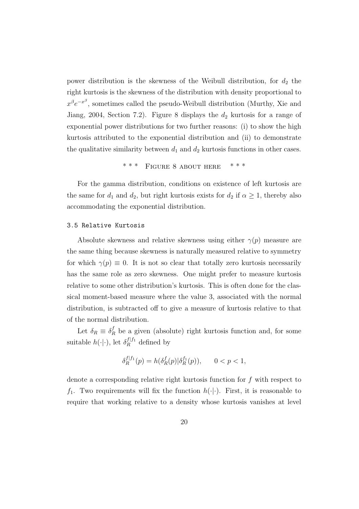power distribution is the skewness of the Weibull distribution, for  $d_2$  the right kurtosis is the skewness of the distribution with density proportional to  $x^{\beta}e^{-x^{\beta}}$ , sometimes called the pseudo-Weibull distribution (Murthy, Xie and Jiang, 2004, Section 7.2). Figure 8 displays the  $d_2$  kurtosis for a range of exponential power distributions for two further reasons: (i) to show the high kurtosis attributed to the exponential distribution and (ii) to demonstrate the qualitative similarity between  $d_1$  and  $d_2$  kurtosis functions in other cases.

### \*\*\* Figure 8 about here \*\*\*

For the gamma distribution, conditions on existence of left kurtosis are the same for  $d_1$  and  $d_2$ , but right kurtosis exists for  $d_2$  if  $\alpha \geq 1$ , thereby also accommodating the exponential distribution.

Absolute skewness and relative skewness using either  $\gamma(p)$  measure are the same thing because skewness is naturally measured relative to symmetry for which  $\gamma(p) \equiv 0$ . It is not so clear that totally zero kurtosis necessarily has the same role as zero skewness. One might prefer to measure kurtosis relative to some other distribution's kurtosis. This is often done for the classical moment-based measure where the value 3, associated with the normal distribution, is subtracted off to give a measure of kurtosis relative to that of the normal distribution.

Let  $\delta_R \equiv \delta_R^f$  be a given (absolute) right kurtosis function and, for some suitable  $h(\cdot|\cdot)$ , let  $\delta_R^{f|f_1}$  defined by

$$
\delta_R^{f|f_1}(p) = h(\delta_R^f(p)|\delta_R^{f_1}(p)), \qquad 0 < p < 1,
$$

denote a corresponding relative right kurtosis function for f with respect to  $f_1$ . Two requirements will fix the function  $h(\cdot|\cdot)$ . First, it is reasonable to require that working relative to a density whose kurtosis vanishes at level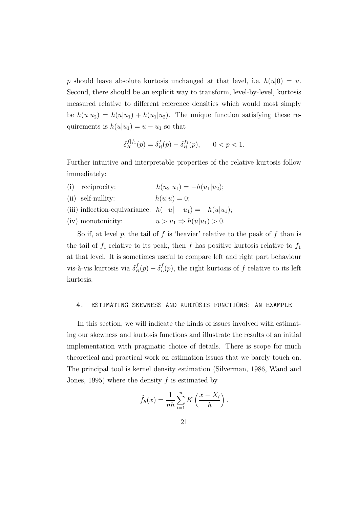p should leave absolute kurtosis unchanged at that level, i.e.  $h(u|0) = u$ . Second, there should be an explicit way to transform, level-by-level, kurtosis measured relative to different reference densities which would most simply be  $h(u|u_2) = h(u|u_1) + h(u_1|u_2)$ . The unique function satisfying these requirements is  $h(u|u_1) = u - u_1$  so that

$$
\delta_R^{f|f_1}(p) = \delta_R^f(p) - \delta_R^{f_1}(p), \qquad 0 < p < 1.
$$

Further intuitive and interpretable properties of the relative kurtosis follow immediately:

- (i) reciprocity:  $h(u_2|u_1) = -h(u_1|u_2);$
- (ii) self-nullity:  $h(u|u) = 0;$
- (iii) inflection-equivariance:  $h(-u|-u_1) = -h(u|u_1);$
- (iv) monotonicity:  $u > u_1 \Rightarrow h(u|u_1) > 0.$

So if, at level p, the tail of f is 'heavier' relative to the peak of f than is the tail of  $f_1$  relative to its peak, then f has positive kurtosis relative to  $f_1$ at that level. It is sometimes useful to compare left and right part behaviour vis-à-vis kurtosis via  $\delta_R^f(p) - \delta_L^f(p)$ , the right kurtosis of f relative to its left kurtosis.

## $\mathcal{A}=\mathcal{A}$  . Estimating skewness and  $\mathcal{A}=\mathcal{A}$  , and  $\mathcal{A}=\mathcal{A}$  , and  $\mathcal{A}=\mathcal{A}$

In this section, we will indicate the kinds of issues involved with estimating our skewness and kurtosis functions and illustrate the results of an initial implementation with pragmatic choice of details. There is scope for much theoretical and practical work on estimation issues that we barely touch on. The principal tool is kernel density estimation (Silverman, 1986, Wand and Jones, 1995) where the density  $f$  is estimated by

$$
\hat{f}_h(x) = \frac{1}{nh} \sum_{i=1}^n K\left(\frac{x - X_i}{h}\right).
$$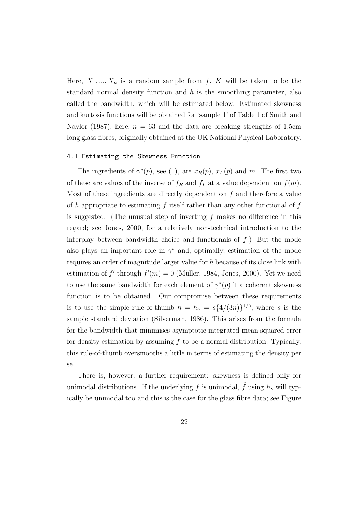Here,  $X_1, ..., X_n$  is a random sample from f, K will be taken to be the standard normal density function and  $h$  is the smoothing parameter, also called the bandwidth, which will be estimated below. Estimated skewness and kurtosis functions will be obtained for 'sample 1' of Table 1 of Smith and Naylor (1987); here,  $n = 63$  and the data are breaking strengths of 1.5cm long glass fibres, originally obtained at the UK National Physical Laboratory.

#### 4.1 Estimating the Skewness Function

The ingredients of  $\gamma^*(p)$ , see (1), are  $x_R(p)$ ,  $x_L(p)$  and m. The first two of these are values of the inverse of  $f_R$  and  $f_L$  at a value dependent on  $f(m)$ . Most of these ingredients are directly dependent on  $f$  and therefore a value of h appropriate to estimating f itself rather than any other functional of f is suggested. (The unusual step of inverting  $f$  makes no difference in this regard; see Jones, 2000, for a relatively non-technical introduction to the interplay between bandwidth choice and functionals of  $f$ .) But the mode also plays an important role in  $\gamma^*$  and, optimally, estimation of the mode requires an order of magnitude larger value for h because of its close link with estimation of f' through  $f'(m) = 0$  (Müller, 1984, Jones, 2000). Yet we need to use the same bandwidth for each element of  $\gamma^*(p)$  if a coherent skewness function is to be obtained. Our compromise between these requirements is to use the simple rule-of-thumb  $h = h_{\gamma} = s\{4/(3n)\}^{1/5}$ , where s is the sample standard deviation (Silverman, 1986). This arises from the formula for the bandwidth that minimises asymptotic integrated mean squared error for density estimation by assuming  $f$  to be a normal distribution. Typically, this rule-of-thumb oversmooths a little in terms of estimating the density per se.

There is, however, a further requirement: skewness is defined only for unimodal distributions. If the underlying f is unimodal,  $\hat{f}$  using  $h_{\gamma}$  will typically be unimodal too and this is the case for the glass fibre data; see Figure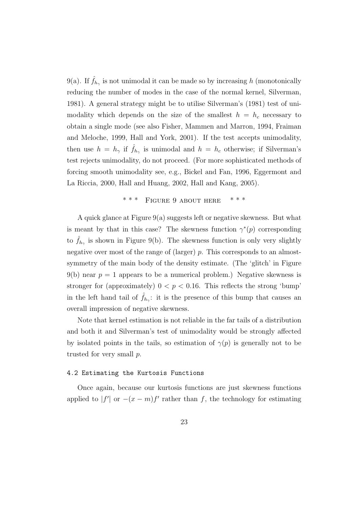9(a). If  $f_{h_{\gamma}}$  is not unimodal it can be made so by increasing h (monotonically reducing the number of modes in the case of the normal kernel, Silverman, 1981). A general strategy might be to utilise Silverman's (1981) test of unimodality which depends on the size of the smallest  $h = h_c$  necessary to obtain a single mode (see also Fisher, Mammen and Marron, 1994, Fraiman and Meloche, 1999, Hall and York, 2001). If the test accepts unimodality, then use  $h = h_{\gamma}$  if  $f_{h_{\gamma}}$  is unimodal and  $h = h_c$  otherwise; if Silverman's test rejects unimodality, do not proceed. (For more sophisticated methods of forcing smooth unimodality see, e.g., Bickel and Fan, 1996, Eggermont and La Riccia, 2000, Hall and Huang, 2002, Hall and Kang, 2005).

### \*\*\* Figure 9 about here \*\*\*

A quick glance at Figure 9(a) suggests left or negative skewness. But what is meant by that in this case? The skewness function  $\gamma^*(p)$  corresponding to  $\hat{f}_{h_{\gamma}}$  is shown in Figure 9(b). The skewness function is only very slightly negative over most of the range of (larger) p. This corresponds to an almostsymmetry of the main body of the density estimate. (The 'glitch' in Figure 9(b) near  $p = 1$  appears to be a numerical problem.) Negative skewness is stronger for (approximately)  $0 < p < 0.16$ . This reflects the strong 'bump' in the left hand tail of  $\hat{f}_{h_{\gamma}}$ : it is the presence of this bump that causes an overall impression of negative skewness.

Note that kernel estimation is not reliable in the far tails of a distribution and both it and Silverman's test of unimodality would be strongly affected by isolated points in the tails, so estimation of  $\gamma(p)$  is generally not to be trusted for very small  $p$ .

#### 4.2 Estimating the Kurtosis Functions

Once again, because our kurtosis functions are just skewness functions applied to  $|f'|$  or  $-(x-m)f'$  rather than f, the technology for estimating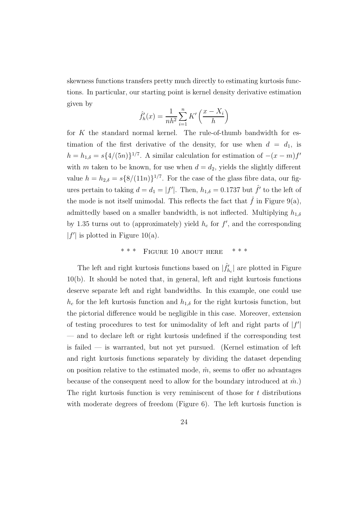skewness functions transfers pretty much directly to estimating kurtosis functions. In particular, our starting point is kernel density derivative estimation given by

$$
\hat{f}'_h(x) = \frac{1}{nh^2} \sum_{i=1}^n K'\left(\frac{x - X_i}{h}\right)
$$

for K the standard normal kernel. The rule-of-thumb bandwidth for estimation of the first derivative of the density, for use when  $d = d_1$ , is  $h = h_{1,\delta} = s\{4/(5n)\}^{1/7}$ . A similar calculation for estimation of  $-(x-m)f'$ with m taken to be known, for use when  $d = d_2$ , yields the slightly different value  $h = h_{2,\delta} = s\{8/(11n)\}^{1/7}$ . For the case of the glass fibre data, our figures pertain to taking  $d = d_1 = |f|$ |. Then,  $h_{1,\delta} = 0.1737$  but  $\hat{f}'$  to the left of the mode is not itself unimodal. This reflects the fact that  $\hat{f}$  in Figure 9(a), admittedly based on a smaller bandwidth, is not inflected. Multiplying  $h_{1,\delta}$ by 1.35 turns out to (approximately) yield  $h_c$  for  $f'$ , and the corresponding  $|f'|$  is plotted in Figure 10(a).

### \*\*\* Figure 10 about here \*\*\*

The left and right kurtosis functions based on  $|\hat{f}_h|$  $h'_c$  are plotted in Figure 10(b). It should be noted that, in general, left and right kurtosis functions deserve separate left and right bandwidths. In this example, one could use  $h_c$  for the left kurtosis function and  $h_{1,\delta}$  for the right kurtosis function, but the pictorial difference would be negligible in this case. Moreover, extension of testing procedures to test for unimodality of left and right parts of  $|f'|$ — and to declare left or right kurtosis undefined if the corresponding test is failed — is warranted, but not yet pursued. (Kernel estimation of left and right kurtosis functions separately by dividing the dataset depending on position relative to the estimated mode,  $\hat{m}$ , seems to offer no advantages because of the consequent need to allow for the boundary introduced at  $\hat{m}$ . The right kurtosis function is very reminiscent of those for  $t$  distributions with moderate degrees of freedom (Figure 6). The left kurtosis function is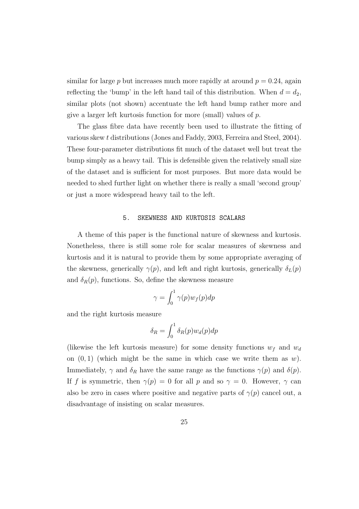similar for large p but increases much more rapidly at around  $p = 0.24$ , again reflecting the 'bump' in the left hand tail of this distribution. When  $d = d_2$ , similar plots (not shown) accentuate the left hand bump rather more and give a larger left kurtosis function for more (small) values of p.

The glass fibre data have recently been used to illustrate the fitting of various skew t distributions (Jones and Faddy, 2003, Ferreira and Steel, 2004). These four-parameter distributions fit much of the dataset well but treat the bump simply as a heavy tail. This is defensible given the relatively small size of the dataset and is sufficient for most purposes. But more data would be needed to shed further light on whether there is really a small 'second group' or just a more widespread heavy tail to the left.

#### 5. SKEWNESS AND KURTOSIS SCALARS 5. SKEWNESS AND KURTOSIS SCALARS

A theme of this paper is the functional nature of skewness and kurtosis. Nonetheless, there is still some role for scalar measures of skewness and kurtosis and it is natural to provide them by some appropriate averaging of the skewness, generically  $\gamma(p)$ , and left and right kurtosis, generically  $\delta_L(p)$ and  $\delta_R(p)$ , functions. So, define the skewness measure

$$
\gamma = \int_0^1 \gamma(p) w_f(p) dp
$$

and the right kurtosis measure

$$
\delta_R = \int_0^1 \delta_R(p) w_d(p) dp
$$

(likewise the left kurtosis measure) for some density functions  $w_f$  and  $w_d$ on  $(0, 1)$  (which might be the same in which case we write them as w). Immediately,  $\gamma$  and  $\delta_R$  have the same range as the functions  $\gamma(p)$  and  $\delta(p)$ . If f is symmetric, then  $\gamma(p) = 0$  for all p and so  $\gamma = 0$ . However,  $\gamma$  can also be zero in cases where positive and negative parts of  $\gamma(p)$  cancel out, a disadvantage of insisting on scalar measures.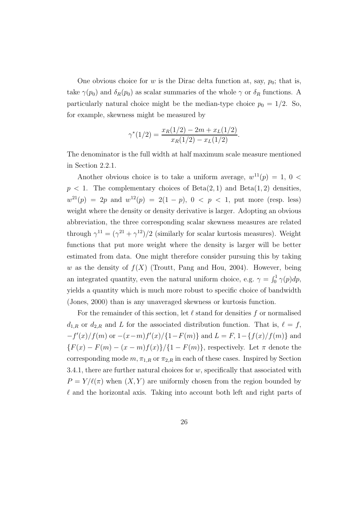One obvious choice for w is the Dirac delta function at, say,  $p_0$ ; that is, take  $\gamma(p_0)$  and  $\delta_R(p_0)$  as scalar summaries of the whole  $\gamma$  or  $\delta_R$  functions. A particularly natural choice might be the median-type choice  $p_0 = 1/2$ . So, for example, skewness might be measured by

$$
\gamma^*(1/2) = \frac{x_R(1/2) - 2m + x_L(1/2)}{x_R(1/2) - x_L(1/2)}.
$$

The denominator is the full width at half maximum scale measure mentioned in Section 2.2.1.

Another obvious choice is to take a uniform average,  $w^{11}(p)=1, 0$  $p < 1$ . The complementary choices of Beta(2,1) and Beta(1,2) densities,  $w^{21}(p) = 2p$  and  $w^{12}(p) = 2(1 - p)$ ,  $0 < p < 1$ , put more (resp. less) weight where the density or density derivative is larger. Adopting an obvious abbreviation, the three corresponding scalar skewness measures are related through  $\gamma^{11} = (\gamma^{21} + \gamma^{12})/2$  (similarly for scalar kurtosis measures). Weight functions that put more weight where the density is larger will be better estimated from data. One might therefore consider pursuing this by taking w as the density of  $f(X)$  (Troutt, Pang and Hou, 2004). However, being an integrated quantity, even the natural uniform choice, e.g.  $\gamma = \int_0^1 \gamma(p) dp$ , yields a quantity which is much more robust to specific choice of bandwidth (Jones, 2000) than is any unaveraged skewness or kurtosis function.

For the remainder of this section, let  $\ell$  stand for densities f or normalised  $d_{1,R}$  or  $d_{2,R}$  and L for the associated distribution function. That is,  $\ell = f$ ,  $-f'(x)/f(m)$  or  $-(x-m)f'(x)/{1-F(m)}$  and  $L = F$ ,  $1 - {f(x)/f(m)}$  and  ${F(x) - F(m) - (x - m)f(x)}/{1 - F(m)}$ , respectively. Let  $\pi$  denote the corresponding mode  $m, \pi_{1,R}$  or  $\pi_{2,R}$  in each of these cases. Inspired by Section 3.4.1, there are further natural choices for  $w$ , specifically that associated with  $P = Y/\ell(\pi)$  when  $(X, Y)$  are uniformly chosen from the region bounded by  $\ell$  and the horizontal axis. Taking into account both left and right parts of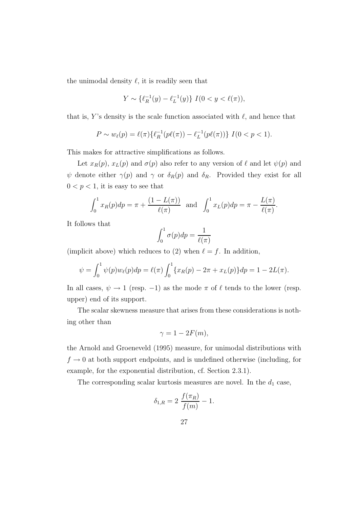the unimodal density  $\ell$ , it is readily seen that

$$
Y \sim \{\ell_R^{-1}(y) - \ell_L^{-1}(y)\} \ I(0 < y < \ell(\pi)),
$$

that is, Y's density is the scale function associated with  $\ell$ , and hence that

$$
P \sim w_{\ell}(p) = \ell(\pi) \{ \ell_R^{-1}(p\ell(\pi)) - \ell_L^{-1}(p\ell(\pi)) \} \ I(0 < p < 1).
$$

This makes for attractive simplifications as follows.

Let  $x_R(p)$ ,  $x_L(p)$  and  $\sigma(p)$  also refer to any version of  $\ell$  and let  $\psi(p)$  and  $\psi$  denote either  $\gamma(p)$  and  $\gamma$  or  $\delta_R(p)$  and  $\delta_R$ . Provided they exist for all  $0 < p < 1$ , it is easy to see that

$$
\int_0^1 x_R(p) dp = \pi + \frac{(1 - L(\pi))}{\ell(\pi)} \text{ and } \int_0^1 x_L(p) dp = \pi - \frac{L(\pi)}{\ell(\pi)}.
$$

It follows that

$$
\int_0^1 \sigma(p) dp = \frac{1}{\ell(\pi)}
$$

(implicit above) which reduces to (2) when  $\ell = f$ . In addition,

$$
\psi = \int_0^1 \psi(p) w_\ell(p) dp = \ell(\pi) \int_0^1 \{x_R(p) - 2\pi + x_L(p)\} dp = 1 - 2L(\pi).
$$

In all cases,  $\psi \to 1$  (resp. -1) as the mode  $\pi$  of  $\ell$  tends to the lower (resp. upper) end of its support.

The scalar skewness measure that arises from these considerations is nothing other than

$$
\gamma = 1 - 2F(m),
$$

the Arnold and Groeneveld (1995) measure, for unimodal distributions with  $f \rightarrow 0$  at both support endpoints, and is undefined otherwise (including, for example, for the exponential distribution, cf. Section 2.3.1).

The corresponding scalar kurtosis measures are novel. In the  $d_1$  case,

$$
\delta_{1,R} = 2 \frac{f(\pi_R)}{f(m)} - 1.
$$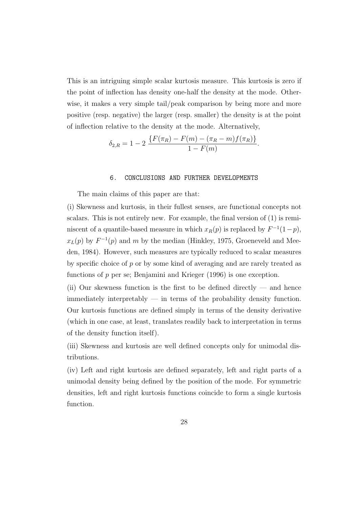This is an intriguing simple scalar kurtosis measure. This kurtosis is zero if the point of inflection has density one-half the density at the mode. Otherwise, it makes a very simple tail/peak comparison by being more and more positive (resp. negative) the larger (resp. smaller) the density is at the point of inflection relative to the density at the mode. Alternatively,

$$
\delta_{2,R} = 1 - 2 \frac{\{F(\pi_R) - F(m) - (\pi_R - m)f(\pi_R)\}}{1 - F(m)}.
$$

## 6. CONCLUSIONS AND FURTHER DEVELOPMENTS

The main claims of this paper are that:

(i) Skewness and kurtosis, in their fullest senses, are functional concepts not scalars. This is not entirely new. For example, the final version of (1) is reminiscent of a quantile-based measure in which  $x_R(p)$  is replaced by  $F^{-1}(1-p)$ ,  $x_L(p)$  by  $F^{-1}(p)$  and m by the median (Hinkley, 1975, Groeneveld and Meeden, 1984). However, such measures are typically reduced to scalar measures by specific choice of  $p$  or by some kind of averaging and are rarely treated as functions of p per se; Benjamini and Krieger (1996) is one exception.

(ii) Our skewness function is the first to be defined directly  $-$  and hence immediately interpretably — in terms of the probability density function. Our kurtosis functions are defined simply in terms of the density derivative (which in one case, at least, translates readily back to interpretation in terms of the density function itself).

(iii) Skewness and kurtosis are well defined concepts only for unimodal distributions.

(iv) Left and right kurtosis are defined separately, left and right parts of a unimodal density being defined by the position of the mode. For symmetric densities, left and right kurtosis functions coincide to form a single kurtosis function.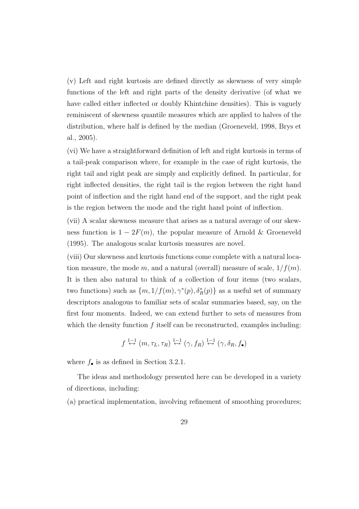(v) Left and right kurtosis are defined directly as skewness of very simple functions of the left and right parts of the density derivative (of what we have called either inflected or doubly Khintchine densities). This is vaguely reminiscent of skewness quantile measures which are applied to halves of the distribution, where half is defined by the median (Groeneveld, 1998, Brys et al., 2005).

(vi) We have a straightforward definition of left and right kurtosis in terms of a tail-peak comparison where, for example in the case of right kurtosis, the right tail and right peak are simply and explicitly defined. In particular, for right inflected densities, the right tail is the region between the right hand point of inflection and the right hand end of the support, and the right peak is the region between the mode and the right hand point of inflection.

(vii) A scalar skewness measure that arises as a natural average of our skewness function is  $1 - 2F(m)$ , the popular measure of Arnold & Groeneveld (1995). The analogous scalar kurtosis measures are novel.

(viii) Our skewness and kurtosis functions come complete with a natural location measure, the mode m, and a natural (overall) measure of scale,  $1/f(m)$ . It is then also natural to think of a collection of four items (two scalars, two functions) such as  $\{m, 1/f(m), \gamma^*(p), \delta^*_R(p)\}$  as a useful set of summary descriptors analogous to familiar sets of scalar summaries based, say, on the first four moments. Indeed, we can extend further to sets of measures from which the density function  $f$  itself can be reconstructed, examples including:

$$
f \stackrel{1-1}{\leftrightarrow} (m, \tau_L, \tau_R) \stackrel{1-1}{\leftrightarrow} (\gamma, f_R) \stackrel{1-1}{\leftrightarrow} (\gamma, \delta_R, f_{\bullet})
$$

where  $f_{\bullet}$  is as defined in Section 3.2.1.

The ideas and methodology presented here can be developed in a variety of directions, including:

(a) practical implementation, involving refinement of smoothing procedures;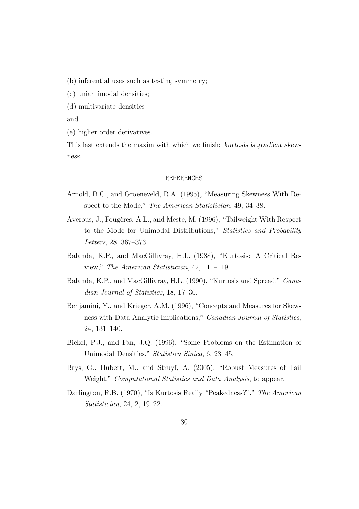(b) inferential uses such as testing symmetry;

- (c) uniantimodal densities;
- (d) multivariate densities

and

(e) higher order derivatives.

This last extends the maxim with which we finish: *kurtosis is gradient skewness*.

- Arnold, B.C., and Groeneveld, R.A. (1995), "Measuring Skewness With Respect to the Mode," *The American Statistician*, 49, 34–38.
- Averous, J., Fougères, A.L., and Meste, M. (1996), "Tailweight With Respect to the Mode for Unimodal Distributions," *Statistics and Probability Letters*, 28, 367–373.
- Balanda, K.P., and MacGillivray, H.L. (1988), "Kurtosis: A Critical Review," *The American Statistician*, 42, 111–119.
- Balanda, K.P., and MacGillivray, H.L. (1990), "Kurtosis and Spread," *Canadian Journal of Statistics*, 18, 17–30.
- Benjamini, Y., and Krieger, A.M. (1996), "Concepts and Measures for Skewness with Data-Analytic Implications," *Canadian Journal of Statistics*, 24, 131–140.
- Bickel, P.J., and Fan, J.Q. (1996), "Some Problems on the Estimation of Unimodal Densities," *Statistica Sinica*, 6, 23–45.
- Brys, G., Hubert, M., and Struyf, A. (2005), "Robust Measures of Tail Weight," *Computational Statistics and Data Analysis*, to appear.
- Darlington, R.B. (1970), "Is Kurtosis Really "Peakedness?"," *The American Statistician*, 24, 2, 19–22.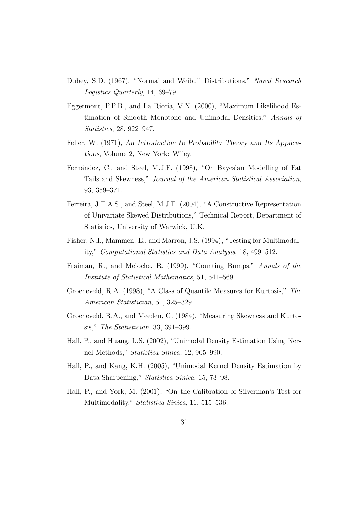- Dubey, S.D. (1967), "Normal and Weibull Distributions," *Naval Research Logistics Quarterly*, 14, 69–79.
- Eggermont, P.P.B., and La Riccia, V.N. (2000), "Maximum Likelihood Estimation of Smooth Monotone and Unimodal Densities," *Annals of Statistics*, 28, 922–947.
- Feller, W. (1971), *An Introduction to Probability Theory and Its Applications*, Volume 2, New York: Wiley.
- Fernández, C., and Steel, M.J.F. (1998), "On Bayesian Modelling of Fat Tails and Skewness," *Journal of the American Statistical Association*, 93, 359–371.
- Ferreira, J.T.A.S., and Steel, M.J.F. (2004), "A Constructive Representation of Univariate Skewed Distributions," Technical Report, Department of Statistics, University of Warwick, U.K.
- Fisher, N.I., Mammen, E., and Marron, J.S. (1994), "Testing for Multimodality," *Computational Statistics and Data Analysis*, 18, 499–512.
- Fraiman, R., and Meloche, R. (1999), "Counting Bumps," *Annals of the Institute of Statistical Mathematics*, 51, 541–569.
- Groeneveld, R.A. (1998), "A Class of Quantile Measures for Kurtosis," *The American Statistician*, 51, 325–329.
- Groeneveld, R.A., and Meeden, G. (1984), "Measuring Skewness and Kurtosis," *The Statistician*, 33, 391–399.
- Hall, P., and Huang, L.S. (2002), "Unimodal Density Estimation Using Kernel Methods," *Statistica Sinica*, 12, 965–990.
- Hall, P., and Kang, K.H. (2005), "Unimodal Kernel Density Estimation by Data Sharpening," *Statistica Sinica*, 15, 73–98.
- Hall, P., and York, M. (2001), "On the Calibration of Silverman's Test for Multimodality," *Statistica Sinica*, 11, 515–536.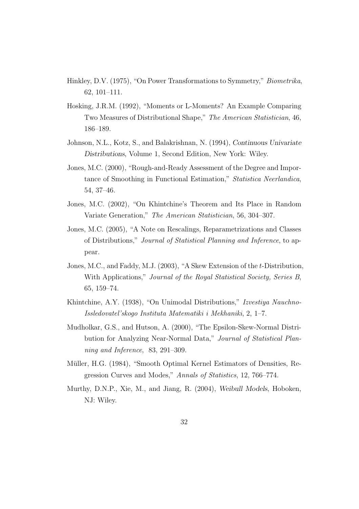- Hinkley, D.V. (1975), "On Power Transformations to Symmetry," *Biometrika*, 62, 101–111.
- Hosking, J.R.M. (1992), "Moments or L-Moments? An Example Comparing Two Measures of Distributional Shape," *The American Statistician*, 46, 186–189.
- Johnson, N.L., Kotz, S., and Balakrishnan, N. (1994), *Continuous Univariate Distributions*, Volume 1, Second Edition, New York: Wiley.
- Jones, M.C. (2000), "Rough-and-Ready Assessment of the Degree and Importance of Smoothing in Functional Estimation," *Statistica Neerlandica*, 54, 37–46.
- Jones, M.C. (2002), "On Khintchine's Theorem and Its Place in Random Variate Generation," *The American Statistician*, 56, 304–307.
- Jones, M.C. (2005), "A Note on Rescalings, Reparametrizations and Classes of Distributions," *Journal of Statistical Planning and Inference*, to appear.
- Jones, M.C., and Faddy, M.J. (2003), "A Skew Extension of the t-Distribution, With Applications," *Journal of the Royal Statistical Society, Series B*, 65, 159–74.
- Khintchine, A.Y. (1938), "On Unimodal Distributions," *Izvestiya Nauchno-Issledovatel'skogo Instituta Matematiki i Mekhaniki*, 2, 1–7.
- Mudholkar, G.S., and Hutson, A. (2000), "The Epsilon-Skew-Normal Distribution for Analyzing Near-Normal Data," *Journal of Statistical Planning and Inference*, 83, 291–309.
- Müller, H.G. (1984), "Smooth Optimal Kernel Estimators of Densities, Regression Curves and Modes," *Annals of Statistics*, 12, 766–774.
- Murthy, D.N.P., Xie, M., and Jiang, R. (2004), *Weibull Models*, Hoboken, NJ: Wiley.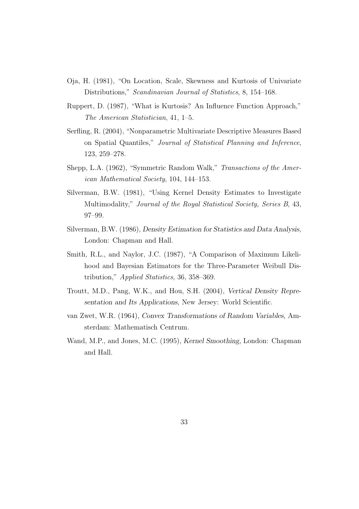- Oja, H. (1981), "On Location, Scale, Skewness and Kurtosis of Univariate Distributions," *Scandinavian Journal of Statistics*, 8, 154–168.
- Ruppert, D. (1987), "What is Kurtosis? An Influence Function Approach," *The American Statistician*, 41, 1–5.
- Serfling, R. (2004), "Nonparametric Multivariate Descriptive Measures Based on Spatial Quantiles," *Journal of Statistical Planning and Inference*, 123, 259–278.
- Shepp, L.A. (1962), "Symmetric Random Walk," *Transactions of the American Mathematical Society*, 104, 144–153.
- Silverman, B.W. (1981), "Using Kernel Density Estimates to Investigate Multimodality," *Journal of the Royal Statistical Society, Series B*, 43, 97–99.
- Silverman, B.W. (1986), *Density Estimation for Statistics and Data Analysis*, London: Chapman and Hall.
- Smith, R.L., and Naylor, J.C. (1987), "A Comparison of Maximum Likelihood and Bayesian Estimators for the Three-Parameter Weibull Distribution," *Applied Statistics*, 36, 358–369.
- Troutt, M.D., Pang, W.K., and Hou, S.H. (2004), *Vertical Density Representation and Its Applications*, New Jersey: World Scientific.
- van Zwet, W.R. (1964), *Convex Transformations of Random Variables*, Amsterdam: Mathematisch Centrum.
- Wand, M.P., and Jones, M.C. (1995), *Kernel Smoothing*, London: Chapman and Hall.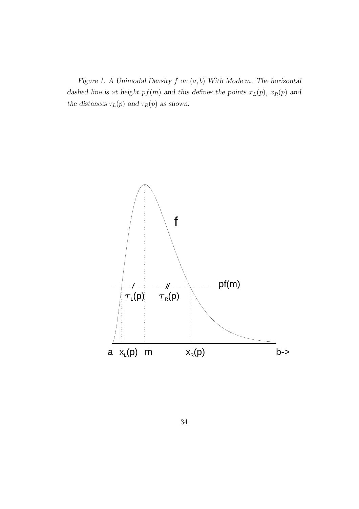*Figure 1. A Unimodal Density* f *on* (a, b) *With Mode* m*. The horizontal* dashed line is at height  $pf(m)$  and this defines the points  $x_L(p)$ ,  $x_R(p)$  and *the distances*  $\tau_L(p)$  *and*  $\tau_R(p)$  *as shown.* 

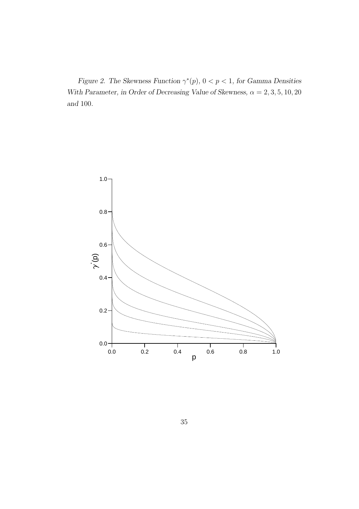*Figure 2. The Skewness Function*  $\gamma^*(p)$ *,*  $0 < p < 1$ *, for Gamma Densities*  $With~Parameter,$  in Order of Decreasing Value of Skewness,  $\alpha=2,3,5,10,20$ *and* 100*.*

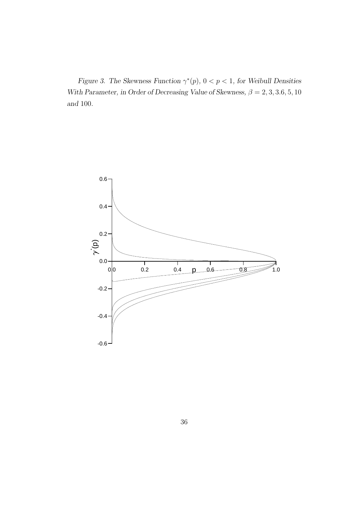*Figure 3. The Skewness Function*  $\gamma^*(p)$ ,  $0 < p < 1$ , for Weibull Densities *With Parameter, in Order of Decreasing Value of Skewness,*  $\beta=2,3,3.6,5,10$ *and* 100*.*

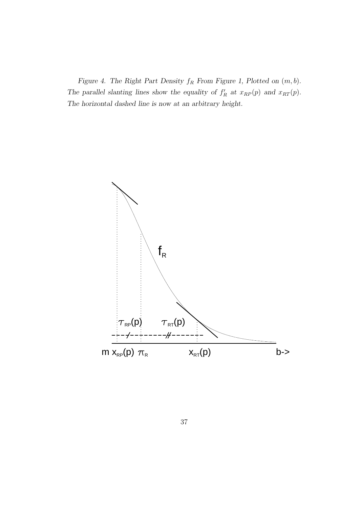*Figure 4. The Right Part Density*  $f_R$  *From Figure 1, Plotted on*  $(m, b)$ *.* The parallel slanting lines show the equality of  $f'_R$  at  $x_{RP}(p)$  and  $x_{RT}(p)$ . *The horizontal dashed line is now at an arbitrary height.*

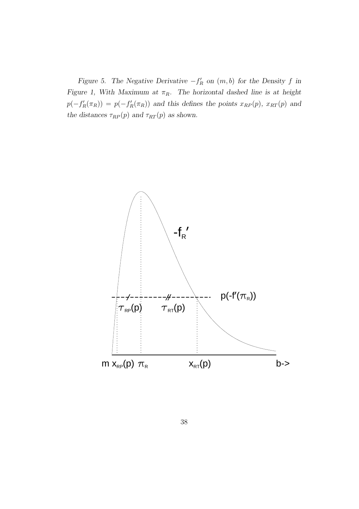*Figure 5. The Negative Derivative*  $-f'_R$  *on*  $(m, b)$  *for the Density*  $f$  *in Figure 1, With Maximum at*  $\pi_R$ *. The horizontal dashed line is at height*  $p(-f'_R(\pi_R)) = p(-f'_R(\pi_R))$  and this defines the points  $x_{RP}(p)$ ,  $x_{RT}(p)$  and *the distances*  $\tau_{RP}(p)$  *and*  $\tau_{RT}(p)$  *as shown.* 

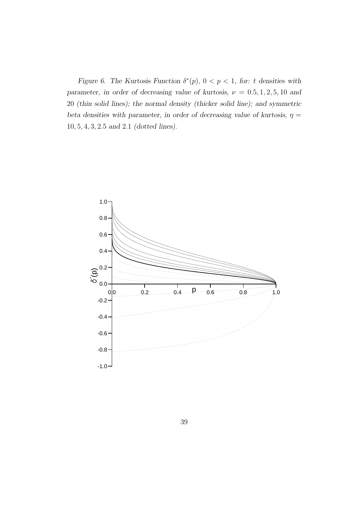*Figure 6. The Kurtosis Function*  $\delta^*(p)$ ,  $0 < p < 1$ , for: t densities with *parameter, in order of decreasing value of kurtosis,*  $\nu = 0.5, 1, 2, 5, 10$  *and* 20 *(thin solid lines); the normal density (thicker solid line); and symmetric beta densities with parameter, in order of decreasing value of kurtosis,*  $\eta$  = 10, 5, 4, 3, 2.5 *and* 2.1 *(dotted lines).*

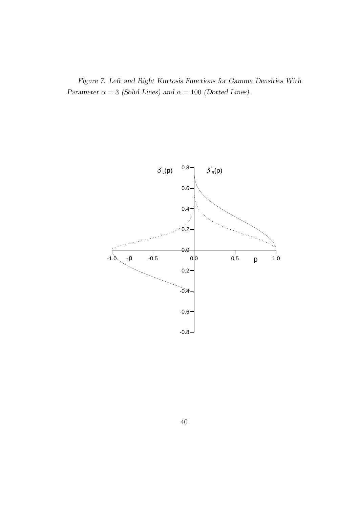*Figure 7. Left and Right Kurtosis Functions for Gamma Densities With Parameter*  $\alpha = 3$  *(Solid Lines) and*  $\alpha = 100$  *(Dotted Lines).* 

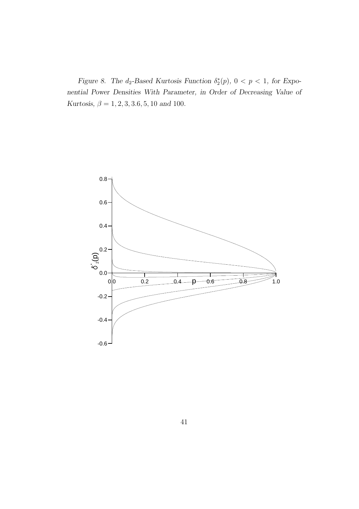*Figure 8. The d<sub>2</sub>-Based Kurtosis Function*  $\delta_2^*(p)$ ,  $0 < p < 1$ , for Expo*nential Power Densities With Parameter, in Order of Decreasing Value of Kurtosis,*  $\beta = 1, 2, 3, 3.6, 5, 10$  *and* 100*.* 

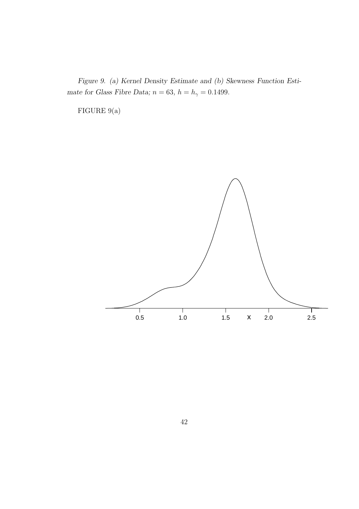*Figure 9. (a) Kernel Density Estimate and (b) Skewness Function Estimate for Glass Fibre Data;*  $n = 63$ ,  $h = h<sub>γ</sub> = 0.1499$ *.* 

FIGURE 9(a)

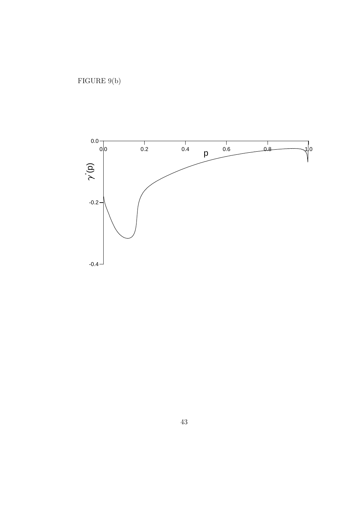

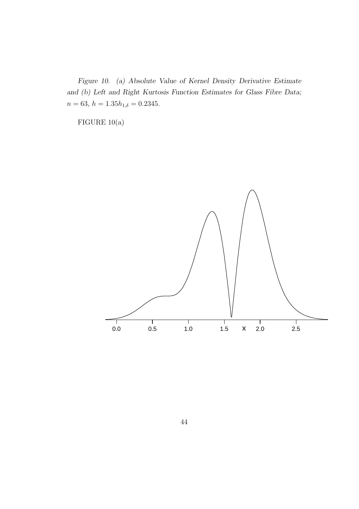*Figure 10. (a) Absolute Value of Kernel Density Derivative Estimate and (b) Left and Right Kurtosis Function Estimates for Glass Fibre Data;*  $n = 63, h = 1.35h_{1,\delta} = 0.2345.$ 

FIGURE 10(a)